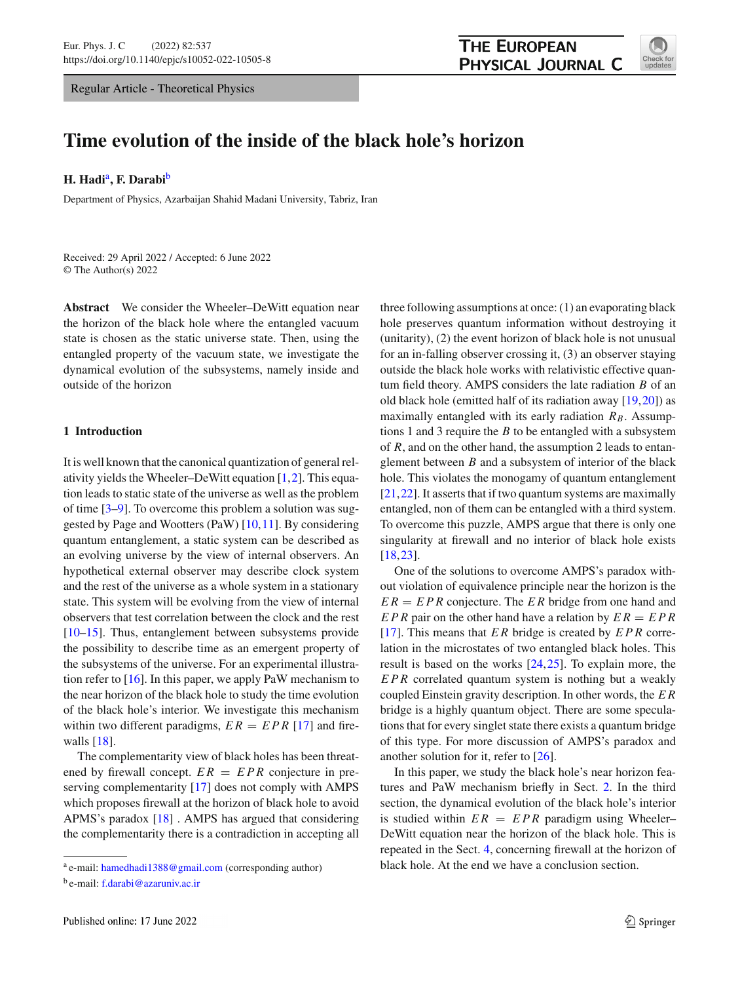Regular Article - Theoretical Physics



# **Time evolution of the inside of the black hole's horizon**

**H. Hadi**a**, F. Darabi**<sup>b</sup>

Department of Physics, Azarbaijan Shahid Madani University, Tabriz, Iran

Received: 29 April 2022 / Accepted: 6 June 2022 © The Author(s) 2022

**Abstract** We consider the Wheeler–DeWitt equation near the horizon of the black hole where the entangled vacuum state is chosen as the static universe state. Then, using the entangled property of the vacuum state, we investigate the dynamical evolution of the subsystems, namely inside and outside of the horizon

### **1 Introduction**

It is well known that the canonical quantization of general relativity yields the Wheeler–DeWitt equation [\[1,](#page-5-0)[2\]](#page-5-1). This equation leads to static state of the universe as well as the problem of time [\[3](#page-5-2)[–9\]](#page-5-3). To overcome this problem a solution was suggested by Page and Wootters (PaW) [\[10,](#page-5-4)[11\]](#page-6-0). By considering quantum entanglement, a static system can be described as an evolving universe by the view of internal observers. An hypothetical external observer may describe clock system and the rest of the universe as a whole system in a stationary state. This system will be evolving from the view of internal observers that test correlation between the clock and the rest [\[10](#page-5-4)[–15](#page-6-1)]. Thus, entanglement between subsystems provide the possibility to describe time as an emergent property of the subsystems of the universe. For an experimental illustration refer to  $[16]$ . In this paper, we apply PaW mechanism to the near horizon of the black hole to study the time evolution of the black hole's interior. We investigate this mechanism within two different paradigms,  $ER = EPR$  [\[17](#page-6-3)] and firewalls [\[18\]](#page-6-4).

The complementarity view of black holes has been threatened by firewall concept.  $ER = EPR$  conjecture in preserving complementarity [\[17\]](#page-6-3) does not comply with AMPS which proposes firewall at the horizon of black hole to avoid APMS's paradox [\[18](#page-6-4)] . AMPS has argued that considering the complementarity there is a contradiction in accepting all three following assumptions at once: (1) an evaporating black hole preserves quantum information without destroying it (unitarity), (2) the event horizon of black hole is not unusual for an in-falling observer crossing it, (3) an observer staying outside the black hole works with relativistic effective quantum field theory. AMPS considers the late radiation *B* of an old black hole (emitted half of its radiation away [\[19](#page-6-5)[,20](#page-6-6)]) as maximally entangled with its early radiation  $R_B$ . Assumptions 1 and 3 require the *B* to be entangled with a subsystem of *R*, and on the other hand, the assumption 2 leads to entanglement between *B* and a subsystem of interior of the black hole. This violates the monogamy of quantum entanglement [\[21](#page-6-7),[22\]](#page-6-8). It asserts that if two quantum systems are maximally entangled, non of them can be entangled with a third system. To overcome this puzzle, AMPS argue that there is only one singularity at firewall and no interior of black hole exists [\[18](#page-6-4),[23\]](#page-6-9).

One of the solutions to overcome AMPS's paradox without violation of equivalence principle near the horizon is the *E R* = *EPR* conjecture. The *E R* bridge from one hand and *EPR* pair on the other hand have a relation by *E R* = *EPR* [\[17](#page-6-3)]. This means that *E R* bridge is created by *EPR* correlation in the microstates of two entangled black holes. This result is based on the works [\[24](#page-6-10),[25\]](#page-6-11). To explain more, the *EPR* correlated quantum system is nothing but a weakly coupled Einstein gravity description. In other words, the *E R* bridge is a highly quantum object. There are some speculations that for every singlet state there exists a quantum bridge of this type. For more discussion of AMPS's paradox and another solution for it, refer to [\[26\]](#page-6-12).

In this paper, we study the black hole's near horizon features and PaW mechanism briefly in Sect. [2.](#page-1-0) In the third section, the dynamical evolution of the black hole's interior is studied within  $ER = EPR$  paradigm using Wheeler– DeWitt equation near the horizon of the black hole. This is repeated in the Sect. [4,](#page-4-0) concerning firewall at the horizon of black hole. At the end we have a conclusion section.

<sup>a</sup> e-mail: [hamedhadi1388@gmail.com](mailto:hamedhadi1388@gmail.com) (corresponding author)

<sup>b</sup> e-mail: [f.darabi@azaruniv.ac.ir](mailto:f.darabi@azaruniv.ac.ir)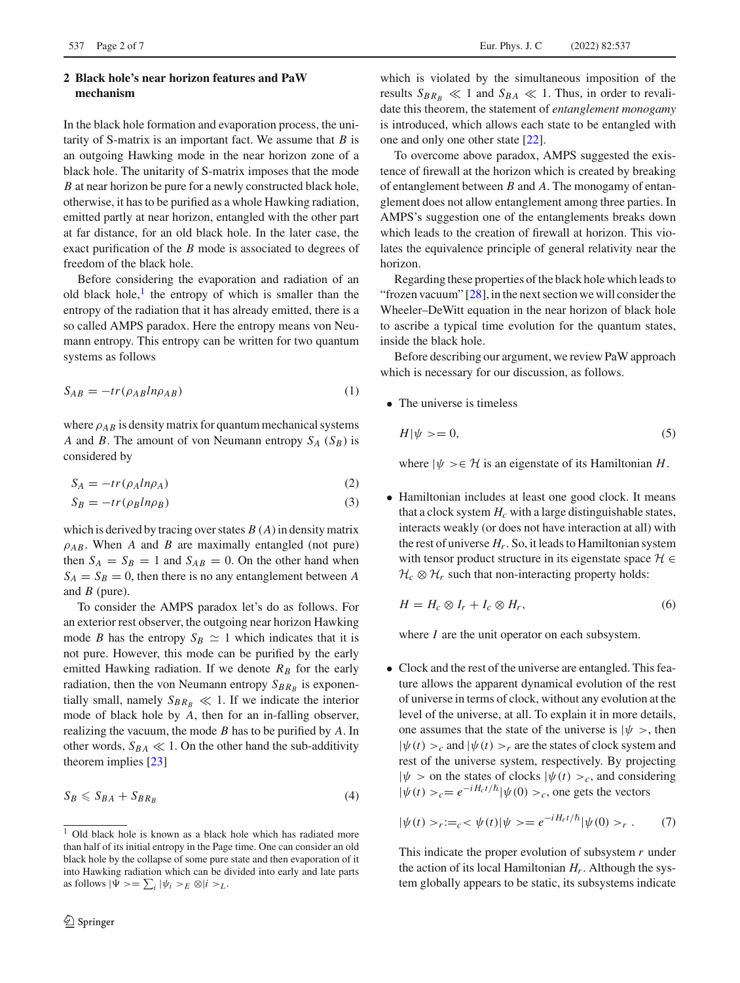## <span id="page-1-0"></span>**2 Black hole's near horizon features and PaW mechanism**

In the black hole formation and evaporation process, the unitarity of S-matrix is an important fact. We assume that *B* is an outgoing Hawking mode in the near horizon zone of a black hole. The unitarity of S-matrix imposes that the mode *B* at near horizon be pure for a newly constructed black hole, otherwise, it has to be purified as a whole Hawking radiation, emitted partly at near horizon, entangled with the other part at far distance, for an old black hole. In the later case, the exact purification of the *B* mode is associated to degrees of freedom of the black hole.

Before considering the evaporation and radiation of an old black hole, $\frac{1}{x}$  $\frac{1}{x}$  $\frac{1}{x}$  the entropy of which is smaller than the entropy of the radiation that it has already emitted, there is a so called AMPS paradox. Here the entropy means von Neumann entropy. This entropy can be written for two quantum systems as follows

$$
S_{AB} = -tr(\rho_{AB} ln \rho_{AB})
$$
 (1)

where  $\rho_{AB}$  is density matrix for quantum mechanical systems *A* and *B*. The amount of von Neumann entropy  $S_A$  ( $S_B$ ) is considered by

$$
S_A = -tr(\rho_A ln \rho_A) \tag{2}
$$

$$
S_B = -tr(\rho_B ln \rho_B) \tag{3}
$$

which is derived by tracing over states *B* (*A*) in density matrix  $\rho_{AB}$ . When *A* and *B* are maximally entangled (not pure) then  $S_A = S_B = 1$  and  $S_{AB} = 0$ . On the other hand when  $S_A = S_B = 0$ , then there is no any entanglement between *A* and *B* (pure).

To consider the AMPS paradox let's do as follows. For an exterior rest observer, the outgoing near horizon Hawking mode *B* has the entropy  $S_B \simeq 1$  which indicates that it is not pure. However, this mode can be purified by the early emitted Hawking radiation. If we denote  $R_B$  for the early radiation, then the von Neumann entropy  $S_{BR_B}$  is exponentially small, namely  $S_{BR_B} \ll 1$ . If we indicate the interior mode of black hole by *A*, then for an in-falling observer, realizing the vacuum, the mode *B* has to be purified by *A*. In other words,  $S_{BA} \ll 1$ . On the other hand the sub-additivity theorem implies [\[23](#page-6-9)]

$$
S_B \leqslant S_{BA} + S_{BR_B} \tag{4}
$$

which is violated by the simultaneous imposition of the results  $S_{BR_B} \ll 1$  and  $S_{BA} \ll 1$ . Thus, in order to revalidate this theorem, the statement of *entanglement monogamy* is introduced, which allows each state to be entangled with one and only one other state [\[22\]](#page-6-8).

To overcome above paradox, AMPS suggested the existence of firewall at the horizon which is created by breaking of entanglement between *B* and *A*. The monogamy of entanglement does not allow entanglement among three parties. In AMPS's suggestion one of the entanglements breaks down which leads to the creation of firewall at horizon. This violates the equivalence principle of general relativity near the horizon.

Regarding these properties of the black hole which leads to "frozen vacuum"  $[28]$  $[28]$ , in the next section we will consider the Wheeler–DeWitt equation in the near horizon of black hole to ascribe a typical time evolution for the quantum states, inside the black hole.

Before describing our argument, we review PaW approach which is necessary for our discussion, as follows.

• The universe is timeless

<span id="page-1-3"></span>
$$
H|\psi\rangle = 0,\tag{5}
$$

where  $|\psi\rangle \in \mathcal{H}$  is an eigenstate of its Hamiltonian *H*.

• Hamiltonian includes at least one good clock. It means that a clock system  $H_c$  with a large distinguishable states, interacts weakly (or does not have interaction at all) with the rest of universe  $H_r$ . So, it leads to Hamiltonian system with tensor product structure in its eigenstate space *H* ∈  $H_c \otimes H_r$  such that non-interacting property holds:

<span id="page-1-2"></span>
$$
H = H_c \otimes I_r + I_c \otimes H_r, \tag{6}
$$

where *I* are the unit operator on each subsystem.

• Clock and the rest of the universe are entangled. This feature allows the apparent dynamical evolution of the rest of universe in terms of clock, without any evolution at the level of the universe, at all. To explain it in more details, one assumes that the state of the universe is  $|\psi \rangle$ , then  $|\psi(t)\rangle_c$  and  $|\psi(t)\rangle_r$  are the states of clock system and rest of the universe system, respectively. By projecting  $|\psi\rangle$  on the states of clocks  $|\psi(t)\rangle_c$ , and considering  $|\psi(t)\rangle_c = e^{-iH_c t/\hslash} |\psi(0)\rangle_c$ , one gets the vectors

<span id="page-1-4"></span>
$$
|\psi(t) > r :=_c < \psi(t) | \psi> = e^{-i H_r t/\hbar} |\psi(0) > r . \tag{7}
$$

This indicate the proper evolution of subsystem *r* under the action of its local Hamiltonian  $H_r$ . Although the system globally appears to be static, its subsystems indicate

<span id="page-1-1"></span><sup>&</sup>lt;sup>1</sup> Old black hole is known as a black hole which has radiated more than half of its initial entropy in the Page time. One can consider an old black hole by the collapse of some pure state and then evaporation of it into Hawking radiation which can be divided into early and late parts as follows  $|\Psi\rangle = \sum_i |\psi_i\rangle_E \otimes |i\rangle_L$ .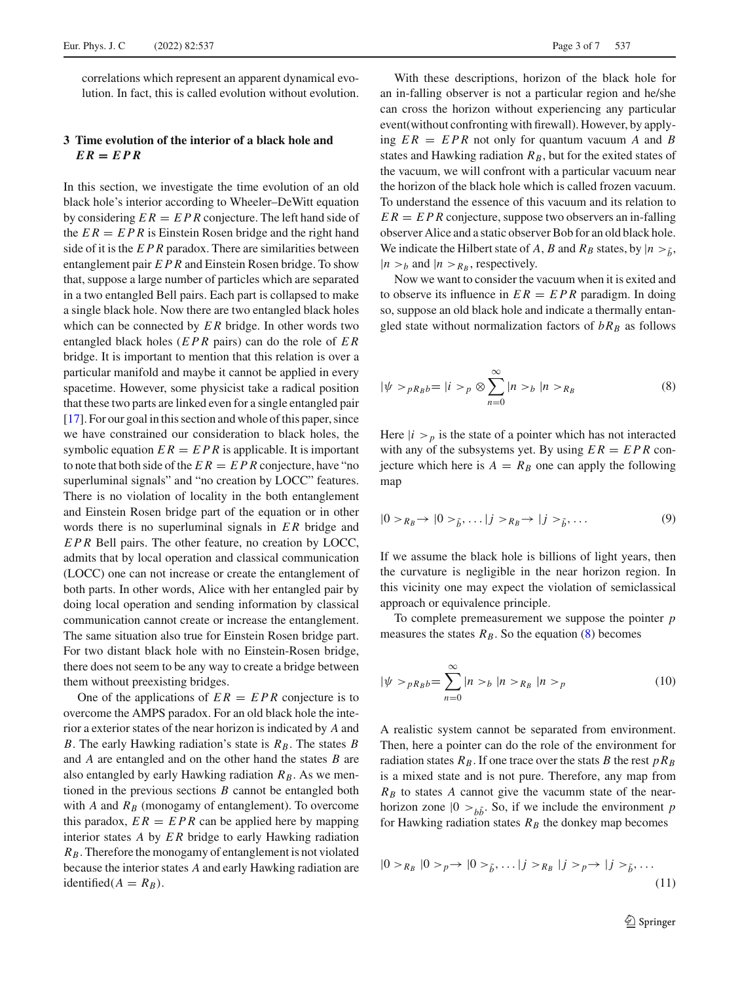correlations which represent an apparent dynamical evolution. In fact, this is called evolution without evolution.

# **3 Time evolution of the interior of a black hole and**  $ER = EPR$

In this section, we investigate the time evolution of an old black hole's interior according to Wheeler–DeWitt equation by considering  $ER = EPR$  conjecture. The left hand side of the  $ER = EPR$  is Einstein Rosen bridge and the right hand side of it is the *EPR* paradox. There are similarities between entanglement pair *EPR* and Einstein Rosen bridge. To show that, suppose a large number of particles which are separated in a two entangled Bell pairs. Each part is collapsed to make a single black hole. Now there are two entangled black holes which can be connected by *E R* bridge. In other words two entangled black holes (*EPR* pairs) can do the role of *E R* bridge. It is important to mention that this relation is over a particular manifold and maybe it cannot be applied in every spacetime. However, some physicist take a radical position that these two parts are linked even for a single entangled pair [\[17](#page-6-3)]. For our goal in this section and whole of this paper, since we have constrained our consideration to black holes, the symbolic equation  $ER = EPR$  is applicable. It is important to note that both side of the  $ER = EPR$  conjecture, have "no superluminal signals" and "no creation by LOCC" features. There is no violation of locality in the both entanglement and Einstein Rosen bridge part of the equation or in other words there is no superluminal signals in *E R* bridge and *EPR* Bell pairs. The other feature, no creation by LOCC, admits that by local operation and classical communication (LOCC) one can not increase or create the entanglement of both parts. In other words, Alice with her entangled pair by doing local operation and sending information by classical communication cannot create or increase the entanglement. The same situation also true for Einstein Rosen bridge part. For two distant black hole with no Einstein-Rosen bridge, there does not seem to be any way to create a bridge between them without preexisting bridges.

One of the applications of  $ER = EPR$  conjecture is to overcome the AMPS paradox. For an old black hole the interior a exterior states of the near horizon is indicated by *A* and *B*. The early Hawking radiation's state is  $R_B$ . The states *B* and *A* are entangled and on the other hand the states *B* are also entangled by early Hawking radiation  $R_B$ . As we mentioned in the previous sections *B* cannot be entangled both with  $A$  and  $R_B$  (monogamy of entanglement). To overcome this paradox,  $ER = EPR$  can be applied here by mapping interior states *A* by *E R* bridge to early Hawking radiation *RB*. Therefore the monogamy of entanglement is not violated because the interior states *A* and early Hawking radiation are identified( $A = R_B$ ).

With these descriptions, horizon of the black hole for an in-falling observer is not a particular region and he/she can cross the horizon without experiencing any particular event(without confronting with firewall). However, by applying  $ER = EPR$  not only for quantum vacuum *A* and *B* states and Hawking radiation  $R_B$ , but for the exited states of the vacuum, we will confront with a particular vacuum near the horizon of the black hole which is called frozen vacuum. To understand the essence of this vacuum and its relation to  $ER = EPR$  conjecture, suppose two observers an in-falling observer Alice and a static observer Bob for an old black hole. We indicate the Hilbert state of *A*, *B* and  $R_B$  states, by  $|n > \tilde{h}$ ,  $|n > b$  and  $|n > R_B$ , respectively.

<span id="page-2-0"></span>Now we want to consider the vacuum when it is exited and to observe its influence in  $ER = EPR$  paradigm. In doing so, suppose an old black hole and indicate a thermally entangled state without normalization factors of  $bR_B$  as follows

$$
|\psi \rangle_{PR_{B}b} = |i \rangle_{p} \otimes \sum_{n=0}^{\infty} |n \rangle_{b} |n \rangle_{R_{B}}
$$
 (8)

Here  $|i \rangle_p$  is the state of a pointer which has not interacted with any of the subsystems yet. By using  $ER = EPR$  conjecture which here is  $A = R_B$  one can apply the following map

$$
|0>_{R_B}\to|0>_{\tilde{b}},\ldots|j>_{R_B}\to|j>_{\tilde{b}},\ldots
$$
 (9)

If we assume the black hole is billions of light years, then the curvature is negligible in the near horizon region. In this vicinity one may expect the violation of semiclassical approach or equivalence principle.

<span id="page-2-1"></span>To complete premeasurement we suppose the pointer *p* measures the states  $R_B$ . So the equation [\(8\)](#page-2-0) becomes

$$
|\psi\rangle_{PR_{B}b} = \sum_{n=0}^{\infty} |n\rangle_{b} |n\rangle_{R_{B}} |n\rangle_{p}
$$
 (10)

A realistic system cannot be separated from environment. Then, here a pointer can do the role of the environment for radiation states  $R_B$ . If one trace over the stats *B* the rest  $pR_B$ is a mixed state and is not pure. Therefore, any map from  $R_B$  to states  $A$  cannot give the vacumm state of the nearhorizon zone  $|0 \rangle_{b\tilde{b}}$ . So, if we include the environment *p* for Hawking radiation states  $R_B$  the donkey map becomes

$$
|0>R_B|0>p\rightarrow|0>\tilde{b},\dots|j>R_B|j>p\rightarrow|j>\tilde{b},\dots
$$
\n
$$
(11)
$$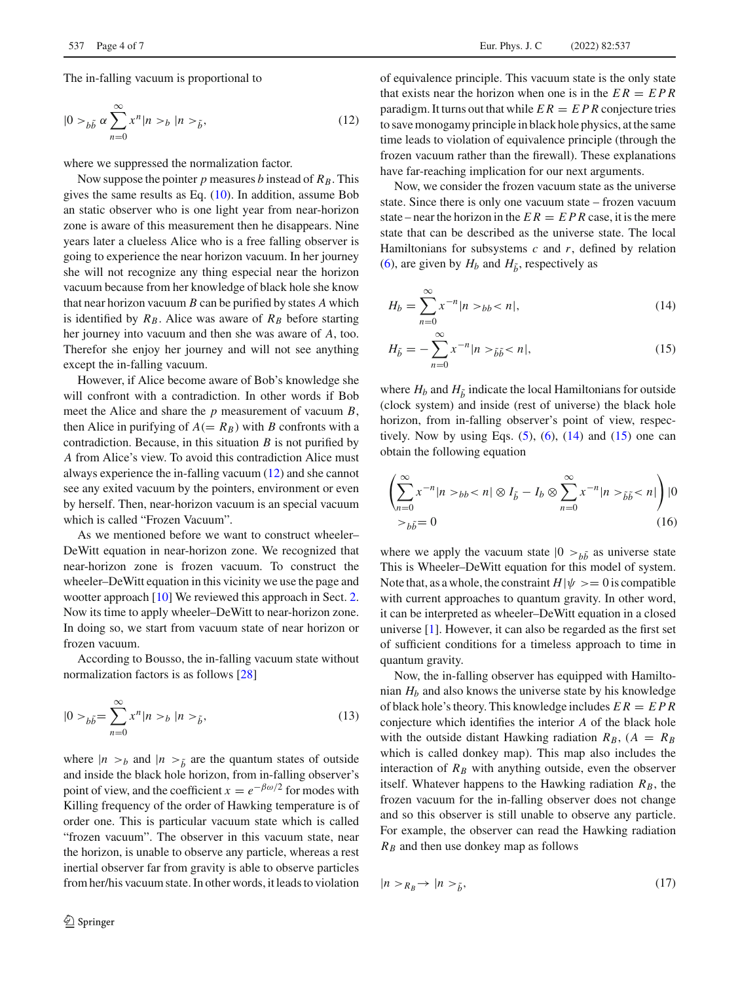$$
|0>_{b\tilde{b}}\alpha \sum_{n=0}^{\infty} x^n |n>b|^{n>\tilde{b}},
$$
\n(12)

where we suppressed the normalization factor.

Now suppose the pointer  $p$  measures  $b$  instead of  $R_B$ . This gives the same results as Eq. [\(10\)](#page-2-1). In addition, assume Bob an static observer who is one light year from near-horizon zone is aware of this measurement then he disappears. Nine years later a clueless Alice who is a free falling observer is going to experience the near horizon vacuum. In her journey she will not recognize any thing especial near the horizon vacuum because from her knowledge of black hole she know that near horizon vacuum *B* can be purified by states *A* which is identified by  $R_B$ . Alice was aware of  $R_B$  before starting her journey into vacuum and then she was aware of *A*, too. Therefor she enjoy her journey and will not see anything except the in-falling vacuum.

However, if Alice become aware of Bob's knowledge she will confront with a contradiction. In other words if Bob meet the Alice and share the *p* measurement of vacuum *B*, then Alice in purifying of  $A(= R_B)$  with *B* confronts with a contradiction. Because, in this situation *B* is not purified by *A* from Alice's view. To avoid this contradiction Alice must always experience the in-falling vacuum [\(12\)](#page-3-0) and she cannot see any exited vacuum by the pointers, environment or even by herself. Then, near-horizon vacuum is an special vacuum which is called "Frozen Vacuum".

As we mentioned before we want to construct wheeler– DeWitt equation in near-horizon zone. We recognized that near-horizon zone is frozen vacuum. To construct the wheeler–DeWitt equation in this vicinity we use the page and wootter approach [\[10\]](#page-5-4) We reviewed this approach in Sect. [2.](#page-1-0) Now its time to apply wheeler–DeWitt to near-horizon zone. In doing so, we start from vacuum state of near horizon or frozen vacuum.

According to Bousso, the in-falling vacuum state without normalization factors is as follows [\[28\]](#page-6-13)

$$
|0>_{b\tilde{b}} = \sum_{n=0}^{\infty} x^n |n>_{b} |n>_{\tilde{b}},
$$
\n(13)

where  $|n > b$  and  $|n > \tilde{b}$  are the quantum states of outside and inside the black hole horizon, from in-falling observer's point of view, and the coefficient  $x = e^{-\beta \omega/2}$  for modes with Killing frequency of the order of Hawking temperature is of order one. This is particular vacuum state which is called "frozen vacuum". The observer in this vacuum state, near the horizon, is unable to observe any particle, whereas a rest inertial observer far from gravity is able to observe particles from her/his vacuum state. In other words, it leads to violation <span id="page-3-0"></span>of equivalence principle. This vacuum state is the only state that exists near the horizon when one is in the  $ER = EPR$ paradigm. It turns out that while  $ER = EPR$  conjecture tries to save monogamy principle in black hole physics, at the same time leads to violation of equivalence principle (through the frozen vacuum rather than the firewall). These explanations have far-reaching implication for our next arguments.

Now, we consider the frozen vacuum state as the universe state. Since there is only one vacuum state – frozen vacuum state – near the horizon in the  $ER = EPR$  case, it is the mere state that can be described as the universe state. The local Hamiltonians for subsystems *c* and *r*, defined by relation [\(6\)](#page-1-2), are given by  $H_b$  and  $H_{\tilde{b}}$ , respectively as

<span id="page-3-1"></span>
$$
H_b = \sum_{n=0}^{\infty} x^{-n} |n \rangle_b < n|,\tag{14}
$$

$$
H_{\tilde{b}} = -\sum_{n=0}^{\infty} x^{-n} |n >_{\tilde{b}\tilde{b}} < n|,
$$
 (15)

where  $H_b$  and  $H_{\tilde{b}}$  indicate the local Hamiltonians for outside (clock system) and inside (rest of universe) the black hole horizon, from in-falling observer's point of view, respectively. Now by using Eqs.  $(5)$ ,  $(6)$ ,  $(14)$  and  $(15)$  one can obtain the following equation

$$
\left(\sum_{n=0}^{\infty} x^{-n} |n \rangle_{bb} < n| \otimes I_{\tilde{b}} - I_b \otimes \sum_{n=0}^{\infty} x^{-n} |n \rangle_{\tilde{b}\tilde{b}} < n|\right) |0 \rangle_{bb\tilde{b}} = 0 \tag{16}
$$

where we apply the vacuum state  $|0 \rangle_{b\tilde{b}}$  as universe state This is Wheeler–DeWitt equation for this model of system. Note that, as a whole, the constraint  $H|\psi\rangle = 0$  is compatible with current approaches to quantum gravity. In other word, it can be interpreted as wheeler–DeWitt equation in a closed universe [\[1](#page-5-0)]. However, it can also be regarded as the first set of sufficient conditions for a timeless approach to time in quantum gravity.

Now, the in-falling observer has equipped with Hamiltonian *Hb* and also knows the universe state by his knowledge of black hole's theory. This knowledge includes  $ER = EPR$ conjecture which identifies the interior *A* of the black hole with the outside distant Hawking radiation  $R_B$ ,  $(A = R_B)$ which is called donkey map). This map also includes the interaction of  $R_B$  with anything outside, even the observer itself. Whatever happens to the Hawking radiation  $R_B$ , the frozen vacuum for the in-falling observer does not change and so this observer is still unable to observe any particle. For example, the observer can read the Hawking radiation  $R_B$  and then use donkey map as follows

$$
|n \rangle_{R_B} \to |n \rangle_{\tilde{b}}, \tag{17}
$$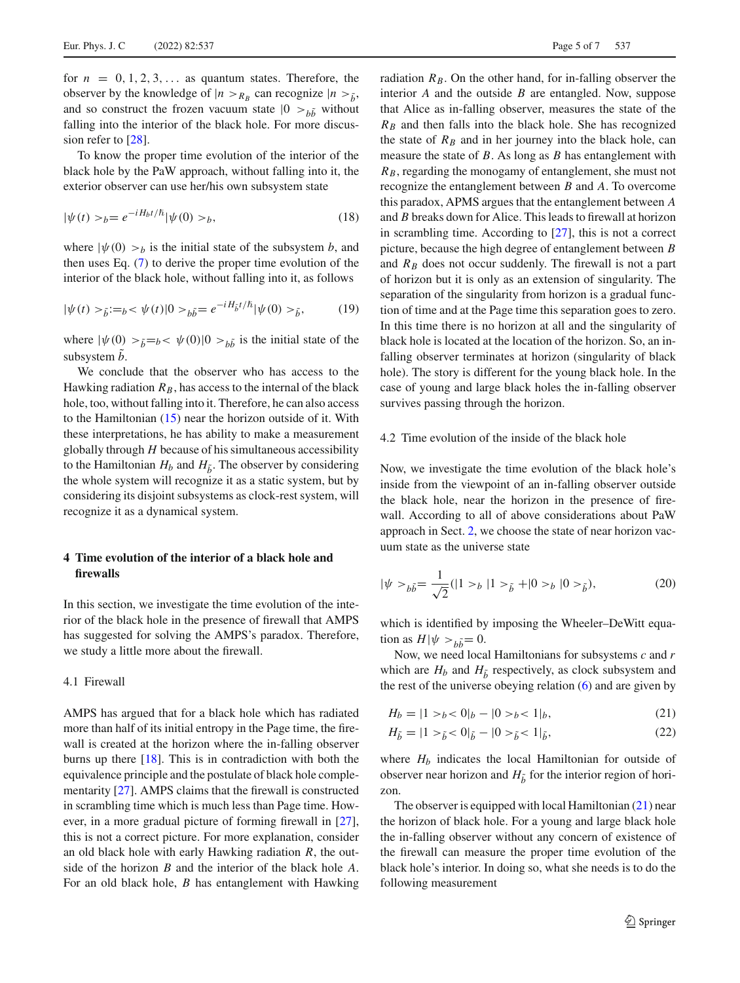for  $n = 0, 1, 2, 3, \ldots$  as quantum states. Therefore, the observer by the knowledge of  $|n\rangle_{R_B}$  can recognize  $|n\rangle_{\tilde{b}}$ , and so construct the frozen vacuum state  $|0 \rangle > b\tilde{b}$  without falling into the interior of the black hole. For more discussion refer to [\[28\]](#page-6-13).

To know the proper time evolution of the interior of the black hole by the PaW approach, without falling into it, the exterior observer can use her/his own subsystem state

$$
|\psi(t) >_{b} = e^{-iH_{b}t/\hslash} |\psi(0) >_{b},
$$
\n(18)

where  $|\psi(0) \rangle_b$  is the initial state of the subsystem *b*, and then uses Eq. [\(7\)](#page-1-4) to derive the proper time evolution of the interior of the black hole, without falling into it, as follows

$$
|\psi(t) >_{\tilde{b}} :=_{b} < \psi(t)|0>_{b\tilde{b}} = e^{-iH_{\tilde{b}}t/\hbar}|\psi(0) >_{\tilde{b}},
$$
 (19)

where  $|\psi(0) >_{\tilde{b}} = b < \psi(0)|0 >_{b\tilde{b}}$  is the initial state of the subsystem *b*.

We conclude that the observer who has access to the Hawking radiation  $R_B$ , has access to the internal of the black hole, too, without falling into it. Therefore, he can also access to the Hamiltonian [\(15\)](#page-3-1) near the horizon outside of it. With these interpretations, he has ability to make a measurement globally through *H* because of his simultaneous accessibility to the Hamiltonian  $H_b$  and  $H_{\tilde{b}}$ . The observer by considering the whole system will recognize it as a static system, but by considering its disjoint subsystems as clock-rest system, will recognize it as a dynamical system.

# <span id="page-4-0"></span>**4 Time evolution of the interior of a black hole and firewalls**

In this section, we investigate the time evolution of the interior of the black hole in the presence of firewall that AMPS has suggested for solving the AMPS's paradox. Therefore, we study a little more about the firewall.

### 4.1 Firewall

AMPS has argued that for a black hole which has radiated more than half of its initial entropy in the Page time, the firewall is created at the horizon where the in-falling observer burns up there [\[18\]](#page-6-4). This is in contradiction with both the equivalence principle and the postulate of black hole complementarity [\[27\]](#page-6-14). AMPS claims that the firewall is constructed in scrambling time which is much less than Page time. However, in a more gradual picture of forming firewall in [\[27](#page-6-14)], this is not a correct picture. For more explanation, consider an old black hole with early Hawking radiation *R*, the outside of the horizon *B* and the interior of the black hole *A*. For an old black hole, *B* has entanglement with Hawking radiation  $R_B$ . On the other hand, for in-falling observer the interior *A* and the outside *B* are entangled. Now, suppose that Alice as in-falling observer, measures the state of the  $R_B$  and then falls into the black hole. She has recognized the state of  $R_B$  and in her journey into the black hole, can measure the state of *B*. As long as *B* has entanglement with *RB*, regarding the monogamy of entanglement, she must not recognize the entanglement between *B* and *A*. To overcome this paradox, APMS argues that the entanglement between *A* and *B* breaks down for Alice. This leads to firewall at horizon in scrambling time. According to [\[27](#page-6-14)], this is not a correct picture, because the high degree of entanglement between *B* and  $R_B$  does not occur suddenly. The firewall is not a part of horizon but it is only as an extension of singularity. The separation of the singularity from horizon is a gradual function of time and at the Page time this separation goes to zero. In this time there is no horizon at all and the singularity of black hole is located at the location of the horizon. So, an infalling observer terminates at horizon (singularity of black hole). The story is different for the young black hole. In the case of young and large black holes the in-falling observer survives passing through the horizon.

### 4.2 Time evolution of the inside of the black hole

Now, we investigate the time evolution of the black hole's inside from the viewpoint of an in-falling observer outside the black hole, near the horizon in the presence of firewall. According to all of above considerations about PaW approach in Sect. [2,](#page-1-0) we choose the state of near horizon vacuum state as the universe state

$$
|\psi \rangle_{b\tilde{b}} = \frac{1}{\sqrt{2}} (|1 \rangle_{b} |1 \rangle_{\tilde{b}} + |0 \rangle_{b} |0 \rangle_{\tilde{b}}),
$$
 (20)

which is identified by imposing the Wheeler–DeWitt equation as  $H|\psi>_{b\tilde{b}}=0$ .

Now, we need local Hamiltonians for subsystems *c* and *r* which are  $H_b$  and  $H_{\tilde{b}}$  respectively, as clock subsystem and the rest of the universe obeying relation [\(6\)](#page-1-2) and are given by

<span id="page-4-1"></span>
$$
H_b = |1 > b < 0|_b - |0 > b < 1|_b,
$$
\n(21)

$$
H_{\tilde{b}} = |1 \rangle_{\tilde{b}} < 0|_{\tilde{b}} - |0 \rangle_{\tilde{b}} < 1|_{\tilde{b}},
$$
\n(22)

where  $H_b$  indicates the local Hamiltonian for outside of observer near horizon and  $H_{\tilde{h}}$  for the interior region of horizon.

<span id="page-4-2"></span>The observer is equipped with local Hamiltonian  $(21)$  near the horizon of black hole. For a young and large black hole the in-falling observer without any concern of existence of the firewall can measure the proper time evolution of the black hole's interior. In doing so, what she needs is to do the following measurement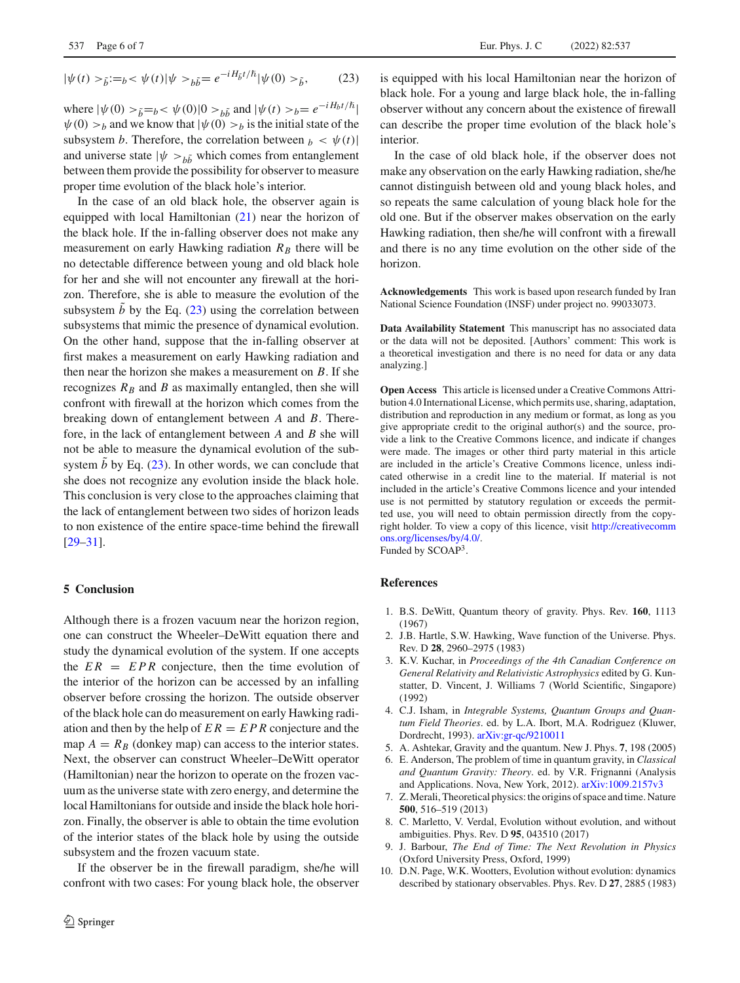$$
|\psi(t) >_{\tilde{b}} :=_{b} < \psi(t) |\psi>_{b\tilde{b}} = e^{-iH_{\tilde{b}}t/\hbar} |\psi(0) >_{\tilde{b}},
$$
 (23)

where  $|\psi(0) >_{\tilde{b}} = b < \psi(0)|0 >_{b\tilde{b}}$  and  $|\psi(t) >_{b} = e^{-iH_{b}t/\hbar}|$  $\psi(0) > b$  and we know that  $|\psi(0) > b$  is the initial state of the subsystem *b*. Therefore, the correlation between  $b < \psi(t)$ and universe state  $|\psi \rangle_{b\tilde{b}}$  which comes from entanglement between them provide the possibility for observer to measure proper time evolution of the black hole's interior.

In the case of an old black hole, the observer again is equipped with local Hamiltonian [\(21\)](#page-4-1) near the horizon of the black hole. If the in-falling observer does not make any measurement on early Hawking radiation  $R_B$  there will be no detectable difference between young and old black hole for her and she will not encounter any firewall at the horizon. Therefore, she is able to measure the evolution of the subsystem *b* by the Eq.  $(23)$  using the correlation between subsystems that mimic the presence of dynamical evolution. On the other hand, suppose that the in-falling observer at first makes a measurement on early Hawking radiation and then near the horizon she makes a measurement on *B*. If she recognizes  $R_B$  and *B* as maximally entangled, then she will confront with firewall at the horizon which comes from the breaking down of entanglement between *A* and *B*. Therefore, in the lack of entanglement between *A* and *B* she will not be able to measure the dynamical evolution of the subsystem  $b$  by Eq.  $(23)$ . In other words, we can conclude that she does not recognize any evolution inside the black hole. This conclusion is very close to the approaches claiming that the lack of entanglement between two sides of horizon leads to non existence of the entire space-time behind the firewall [\[29](#page-6-15)[–31](#page-6-16)].

#### **5 Conclusion**

Although there is a frozen vacuum near the horizon region, one can construct the Wheeler–DeWitt equation there and study the dynamical evolution of the system. If one accepts the  $ER = EPR$  conjecture, then the time evolution of the interior of the horizon can be accessed by an infalling observer before crossing the horizon. The outside observer of the black hole can do measurement on early Hawking radiation and then by the help of  $ER = EPR$  conjecture and the map  $A = R_B$  (donkey map) can access to the interior states. Next, the observer can construct Wheeler–DeWitt operator (Hamiltonian) near the horizon to operate on the frozen vacuum as the universe state with zero energy, and determine the local Hamiltonians for outside and inside the black hole horizon. Finally, the observer is able to obtain the time evolution of the interior states of the black hole by using the outside subsystem and the frozen vacuum state.

If the observer be in the firewall paradigm, she/he will confront with two cases: For young black hole, the observer is equipped with his local Hamiltonian near the horizon of black hole. For a young and large black hole, the in-falling observer without any concern about the existence of firewall can describe the proper time evolution of the black hole's interior.

In the case of old black hole, if the observer does not make any observation on the early Hawking radiation, she/he cannot distinguish between old and young black holes, and so repeats the same calculation of young black hole for the old one. But if the observer makes observation on the early Hawking radiation, then she/he will confront with a firewall and there is no any time evolution on the other side of the horizon.

**Acknowledgements** This work is based upon research funded by Iran National Science Foundation (INSF) under project no. 99033073.

**Data Availability Statement** This manuscript has no associated data or the data will not be deposited. [Authors' comment: This work is a theoretical investigation and there is no need for data or any data analyzing.]

**Open Access** This article is licensed under a Creative Commons Attribution 4.0 International License, which permits use, sharing, adaptation, distribution and reproduction in any medium or format, as long as you give appropriate credit to the original author(s) and the source, provide a link to the Creative Commons licence, and indicate if changes were made. The images or other third party material in this article are included in the article's Creative Commons licence, unless indicated otherwise in a credit line to the material. If material is not included in the article's Creative Commons licence and your intended use is not permitted by statutory regulation or exceeds the permitted use, you will need to obtain permission directly from the copyright holder. To view a copy of this licence, visit [http://creativecomm](http://creativecommons.org/licenses/by/4.0/) [ons.org/licenses/by/4.0/.](http://creativecommons.org/licenses/by/4.0/)

Funded by SCOAP3.

### **References**

- <span id="page-5-0"></span>1. B.S. DeWitt, Quantum theory of gravity. Phys. Rev. **160**, 1113 (1967)
- <span id="page-5-1"></span>2. J.B. Hartle, S.W. Hawking, Wave function of the Universe. Phys. Rev. D **28**, 2960–2975 (1983)
- <span id="page-5-2"></span>3. K.V. Kuchar, in *Proceedings of the 4th Canadian Conference on General Relativity and Relativistic Astrophysics* edited by G. Kunstatter, D. Vincent, J. Williams 7 (World Scientific, Singapore) (1992)
- 4. C.J. Isham, in *Integrable Systems, Quantum Groups and Quantum Field Theories*. ed. by L.A. Ibort, M.A. Rodriguez (Kluwer, Dordrecht, 1993). [arXiv:gr-qc/9210011](http://arxiv.org/abs/gr-qc/9210011)
- 5. A. Ashtekar, Gravity and the quantum. New J. Phys. **7**, 198 (2005)
- 6. E. Anderson, The problem of time in quantum gravity, in *Classical and Quantum Gravity: Theory*. ed. by V.R. Frignanni (Analysis and Applications. Nova, New York, 2012). [arXiv:1009.2157v3](http://arxiv.org/abs/1009.2157v3)
- 7. Z. Merali, Theoretical physics: the origins of space and time. Nature **500**, 516–519 (2013)
- 8. C. Marletto, V. Verdal, Evolution without evolution, and without ambiguities. Phys. Rev. D **95**, 043510 (2017)
- <span id="page-5-3"></span>9. J. Barbour, *The End of Time: The Next Revolution in Physics* (Oxford University Press, Oxford, 1999)
- <span id="page-5-4"></span>10. D.N. Page, W.K. Wootters, Evolution without evolution: dynamics described by stationary observables. Phys. Rev. D **27**, 2885 (1983)